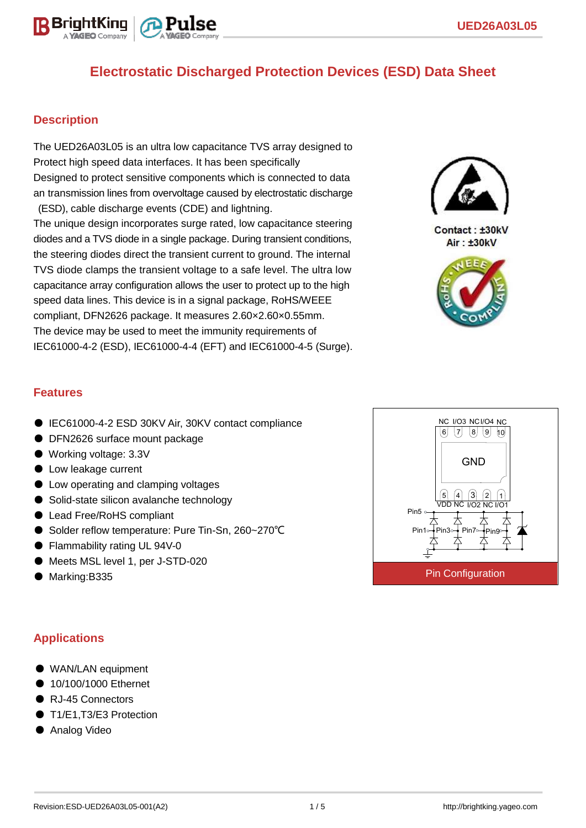

### **Description**

The UED26A03L05 is an ultra low capacitance TVS array designed to Protect high speed data interfaces. It has been specifically Designed to protect sensitive components which is connected to data an transmission lines from overvoltage caused by electrostatic discharge (ESD), cable discharge events (CDE) and lightning.

The unique design incorporates surge rated, low capacitance steering diodes and a TVS diode in a single package. During transient conditions, the steering diodes direct the transient current to ground. The internal TVS diode clamps the transient voltage to a safe level. The ultra low capacitance array configuration allows the user to protect up to the high speed data lines. This device is in a signal package, RoHS/WEEE compliant, DFN2626 package. It measures 2.60×2.60×0.55mm. The device may be used to meet the immunity requirements of IEC61000-4-2 (ESD), IEC61000-4-4 (EFT) and IEC61000-4-5 (Surge).



Contact: ±30kV Air: ±30kV



### **Features**

- IEC61000-4-2 ESD 30KV Air, 30KV contact compliance
- DFN2626 surface mount package
- Working voltage: 3.3V
- Low leakage current
- Low operating and clamping voltages
- Solid-state silicon avalanche technology
- Lead Free/RoHS compliant
- Solder reflow temperature: Pure Tin-Sn, 260~270°C
- Flammability rating UL 94V-0
- Meets MSL level 1, per J-STD-020
- Marking:B335

## **Applications**

- WAN/LAN equipment
- 10/100/1000 Ethernet
- RJ-45 Connectors
- T1/E1.T3/E3 Protection
- Analog Video

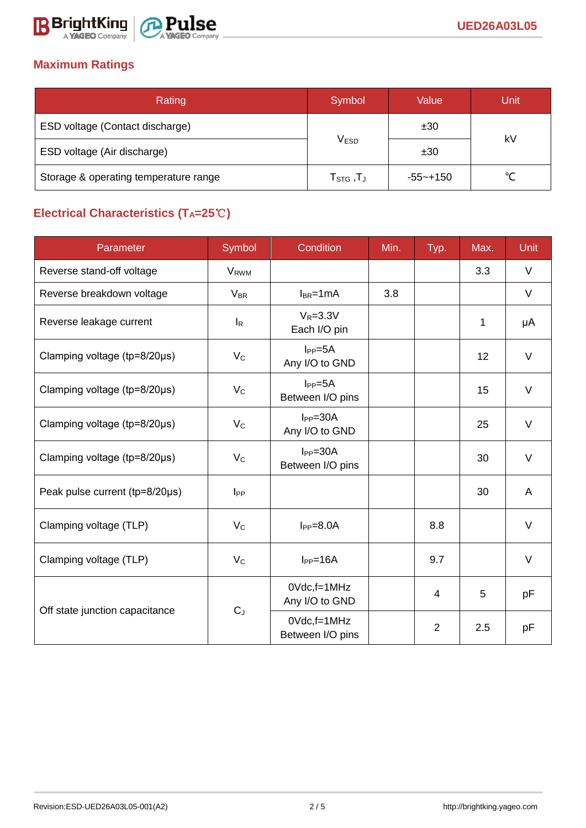

## **Maximum Ratings**

| Rating                                | Symbol                          | Value        | Unit |  |  |
|---------------------------------------|---------------------------------|--------------|------|--|--|
| ESD voltage (Contact discharge)       |                                 | ±30          |      |  |  |
| ESD voltage (Air discharge)           | <b>VESD</b>                     | ±30          | kV   |  |  |
| Storage & operating temperature range | $\mathsf{T}_{\texttt{STG}}$ ,T」 | $-55 - +150$ | ∽    |  |  |

# **Electrical Characteristics (TA=25**℃**)**

| Parameter                      | Symbol                  | Condition                          | Min. | Typ.           | Max. | <b>Unit</b> |
|--------------------------------|-------------------------|------------------------------------|------|----------------|------|-------------|
| Reverse stand-off voltage      | <b>V</b> <sub>RWM</sub> |                                    |      |                | 3.3  | $\vee$      |
| Reverse breakdown voltage      | <b>V<sub>BR</sub></b>   | $I_{BR}$ =1mA                      | 3.8  |                |      | V           |
| Reverse leakage current        | $I_R$                   | $V_R = 3.3V$<br>Each I/O pin       |      |                | 1    | μA          |
| Clamping voltage (tp=8/20µs)   | $V_{\rm C}$             | $I_{PP} = 5A$<br>Any I/O to GND    |      |                | 12   | $\vee$      |
| Clamping voltage (tp=8/20µs)   | $V_C$                   | $I_{PP} = 5A$<br>Between I/O pins  |      |                | 15   | $\vee$      |
| Clamping voltage (tp=8/20µs)   | $V_{C}$                 | $I_{PP} = 30A$<br>Any I/O to GND   |      |                | 25   | $\vee$      |
| Clamping voltage (tp=8/20µs)   | $V_{C}$                 | $I_{PP} = 30A$<br>Between I/O pins |      |                | 30   | $\vee$      |
| Peak pulse current (tp=8/20µs) | $I_{PP}$                |                                    |      |                | 30   | A           |
| Clamping voltage (TLP)         | $V_{C}$                 | $I_{PP}=8.0A$                      |      | 8.8            |      | $\vee$      |
| Clamping voltage (TLP)         | $V_{\rm C}$             | $I_{PP}=16A$                       |      | 9.7            |      | V           |
| Off state junction capacitance | $C_J$                   | 0Vdc,f=1MHz<br>Any I/O to GND      |      | $\overline{4}$ | 5    | pF          |
|                                |                         | 0Vdc,f=1MHz<br>Between I/O pins    |      | $\overline{2}$ | 2.5  | рF          |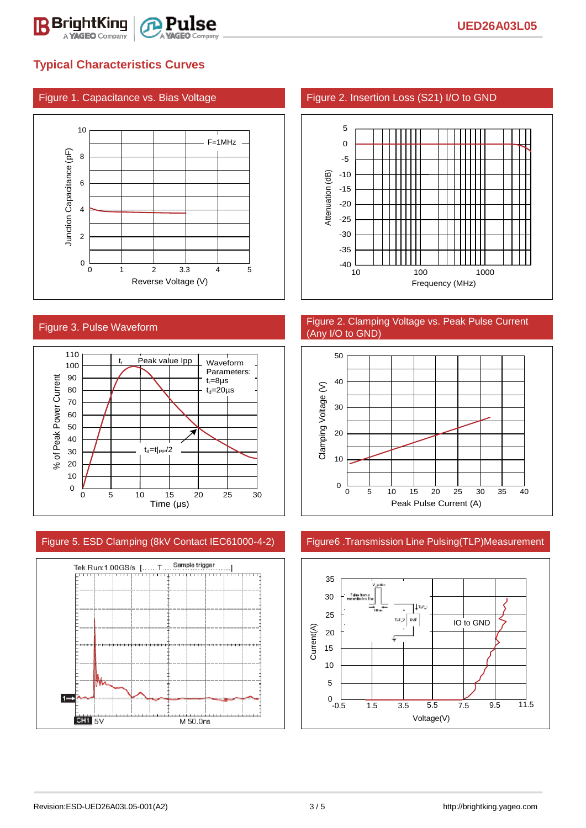

## **Typical Characteristics Curves**





### Figure 5. ESD Clamping (8kV Contact IEC61000-4-2) Figure6 .Transmission Line Pulsing(TLP)Measurement



#### Figure 1. Capacitance vs. Bias Voltage Figure 2. Insertion Loss (S21) I/O to GND



#### Figure 3. Pulse Waveform **Figure 2. Clamping Voltage vs. Peak Pulse Current** (Any I/O to GND)



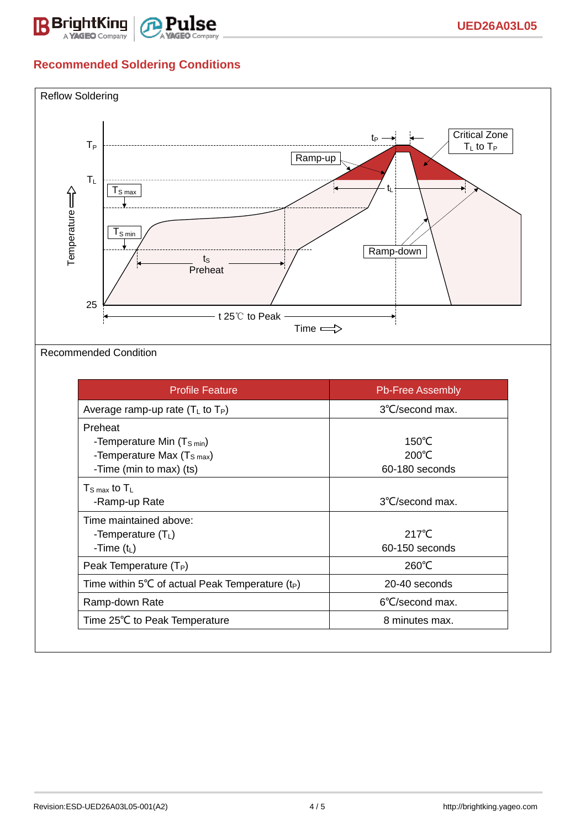

## **Recommended Soldering Conditions**